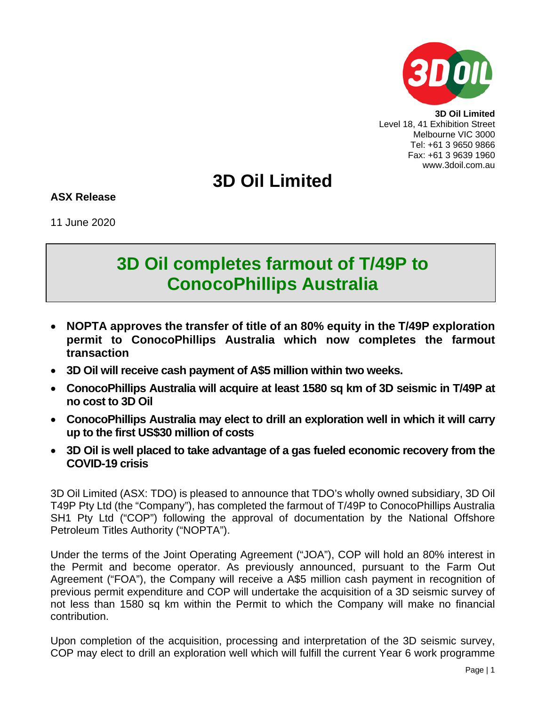

**3D Oil Limited** Level 18, 41 Exhibition Street Melbourne VIC 3000 Tel: +61 3 9650 9866 Fax: +61 3 9639 1960 www.3doil.com.au

# **3D Oil Limited**

**ASX Release**

11 June 2020

## **3D Oil completes farmout of T/49P to ConocoPhillips Australia**

- **NOPTA approves the transfer of title of an 80% equity in the T/49P exploration permit to ConocoPhillips Australia which now completes the farmout transaction**
- **3D Oil will receive cash payment of A\$5 million within two weeks.**
- **ConocoPhillips Australia will acquire at least 1580 sq km of 3D seismic in T/49P at no cost to 3D Oil**
- **ConocoPhillips Australia may elect to drill an exploration well in which it will carry up to the first US\$30 million of costs**
- **3D Oil is well placed to take advantage of a gas fueled economic recovery from the COVID-19 crisis**

3D Oil Limited (ASX: TDO) is pleased to announce that TDO's wholly owned subsidiary, 3D Oil T49P Pty Ltd (the "Company"), has completed the farmout of T/49P to ConocoPhillips Australia SH1 Pty Ltd ("COP") following the approval of documentation by the National Offshore Petroleum Titles Authority ("NOPTA").

Under the terms of the Joint Operating Agreement ("JOA"), COP will hold an 80% interest in the Permit and become operator. As previously announced, pursuant to the Farm Out Agreement ("FOA"), the Company will receive a A\$5 million cash payment in recognition of previous permit expenditure and COP will undertake the acquisition of a 3D seismic survey of not less than 1580 sq km within the Permit to which the Company will make no financial contribution.

Upon completion of the acquisition, processing and interpretation of the 3D seismic survey, COP may elect to drill an exploration well which will fulfill the current Year 6 work programme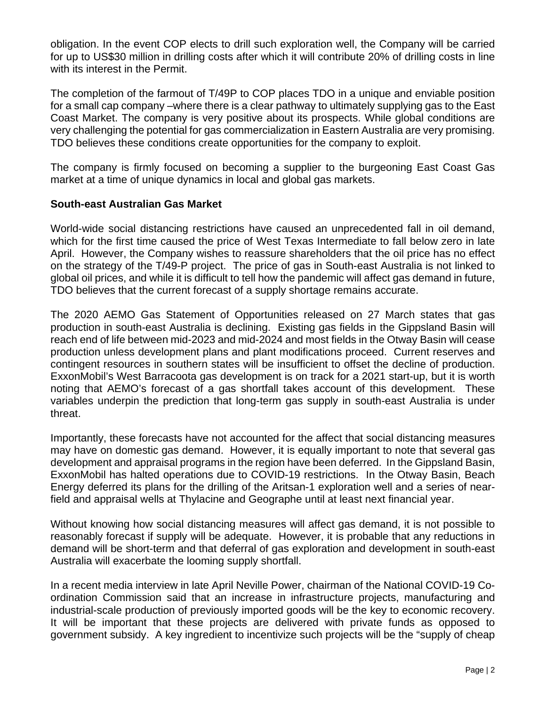obligation. In the event COP elects to drill such exploration well, the Company will be carried for up to US\$30 million in drilling costs after which it will contribute 20% of drilling costs in line with its interest in the Permit.

The completion of the farmout of T/49P to COP places TDO in a unique and enviable position for a small cap company –where there is a clear pathway to ultimately supplying gas to the East Coast Market. The company is very positive about its prospects. While global conditions are very challenging the potential for gas commercialization in Eastern Australia are very promising. TDO believes these conditions create opportunities for the company to exploit.

The company is firmly focused on becoming a supplier to the burgeoning East Coast Gas market at a time of unique dynamics in local and global gas markets.

## **South-east Australian Gas Market**

World-wide social distancing restrictions have caused an unprecedented fall in oil demand, which for the first time caused the price of West Texas Intermediate to fall below zero in late April. However, the Company wishes to reassure shareholders that the oil price has no effect on the strategy of the T/49-P project. The price of gas in South-east Australia is not linked to global oil prices, and while it is difficult to tell how the pandemic will affect gas demand in future, TDO believes that the current forecast of a supply shortage remains accurate.

The 2020 AEMO Gas Statement of Opportunities released on 27 March states that gas production in south-east Australia is declining. Existing gas fields in the Gippsland Basin will reach end of life between mid-2023 and mid-2024 and most fields in the Otway Basin will cease production unless development plans and plant modifications proceed. Current reserves and contingent resources in southern states will be insufficient to offset the decline of production. ExxonMobil's West Barracoota gas development is on track for a 2021 start-up, but it is worth noting that AEMO's forecast of a gas shortfall takes account of this development. These variables underpin the prediction that long-term gas supply in south-east Australia is under threat.

Importantly, these forecasts have not accounted for the affect that social distancing measures may have on domestic gas demand. However, it is equally important to note that several gas development and appraisal programs in the region have been deferred. In the Gippsland Basin, ExxonMobil has halted operations due to COVID-19 restrictions. In the Otway Basin, Beach Energy deferred its plans for the drilling of the Aritsan-1 exploration well and a series of nearfield and appraisal wells at Thylacine and Geographe until at least next financial year.

Without knowing how social distancing measures will affect gas demand, it is not possible to reasonably forecast if supply will be adequate. However, it is probable that any reductions in demand will be short-term and that deferral of gas exploration and development in south-east Australia will exacerbate the looming supply shortfall.

In a recent media interview in late April Neville Power, chairman of the National COVID-19 Coordination Commission said that an increase in infrastructure projects, manufacturing and industrial-scale production of previously imported goods will be the key to economic recovery. It will be important that these projects are delivered with private funds as opposed to government subsidy. A key ingredient to incentivize such projects will be the "supply of cheap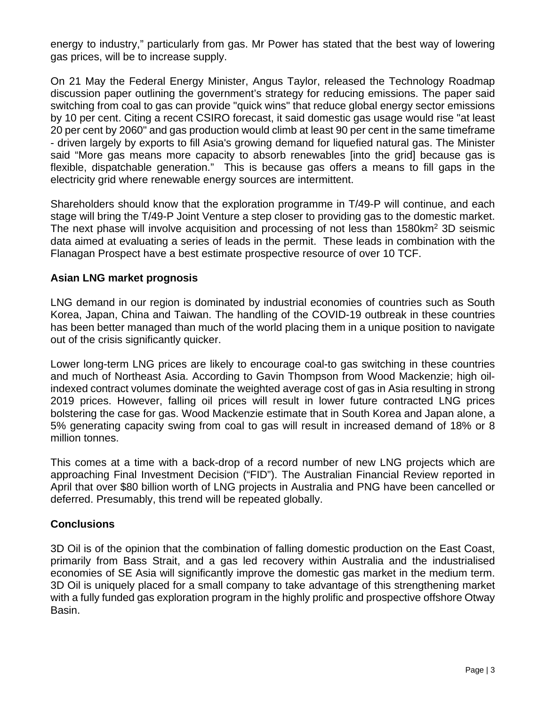energy to industry," particularly from gas. Mr Power has stated that the best way of lowering gas prices, will be to increase supply.

On 21 May the Federal Energy Minister, Angus Taylor, released the Technology Roadmap discussion paper outlining the government's strategy for reducing emissions. The paper said switching from coal to gas can provide "quick wins" that reduce global energy sector emissions by 10 per cent. Citing a recent CSIRO forecast, it said domestic gas usage would rise "at least 20 per cent by 2060" and gas production would climb at least 90 per cent in the same timeframe - driven largely by exports to fill Asia's growing demand for liquefied natural gas. The Minister said "More gas means more capacity to absorb renewables [into the grid] because gas is flexible, dispatchable generation." This is because gas offers a means to fill gaps in the electricity grid where renewable energy sources are intermittent.

Shareholders should know that the exploration programme in T/49-P will continue, and each stage will bring the T/49-P Joint Venture a step closer to providing gas to the domestic market. The next phase will involve acquisition and processing of not less than 1580km<sup>2</sup> 3D seismic data aimed at evaluating a series of leads in the permit. These leads in combination with the Flanagan Prospect have a best estimate prospective resource of over 10 TCF.

## **Asian LNG market prognosis**

LNG demand in our region is dominated by industrial economies of countries such as South Korea, Japan, China and Taiwan. The handling of the COVID-19 outbreak in these countries has been better managed than much of the world placing them in a unique position to navigate out of the crisis significantly quicker.

Lower long-term LNG prices are likely to encourage coal-to gas switching in these countries and much of Northeast Asia. According to Gavin Thompson from Wood Mackenzie; high oilindexed contract volumes dominate the weighted average cost of gas in Asia resulting in strong 2019 prices. However, falling oil prices will result in lower future contracted LNG prices bolstering the case for gas. Wood Mackenzie estimate that in South Korea and Japan alone, a 5% generating capacity swing from coal to gas will result in increased demand of 18% or 8 million tonnes.

This comes at a time with a back-drop of a record number of new LNG projects which are approaching Final Investment Decision ("FID"). The Australian Financial Review reported in April that over \$80 billion worth of LNG projects in Australia and PNG have been cancelled or deferred. Presumably, this trend will be repeated globally.

### **Conclusions**

3D Oil is of the opinion that the combination of falling domestic production on the East Coast, primarily from Bass Strait, and a gas led recovery within Australia and the industrialised economies of SE Asia will significantly improve the domestic gas market in the medium term. 3D Oil is uniquely placed for a small company to take advantage of this strengthening market with a fully funded gas exploration program in the highly prolific and prospective offshore Otway Basin.